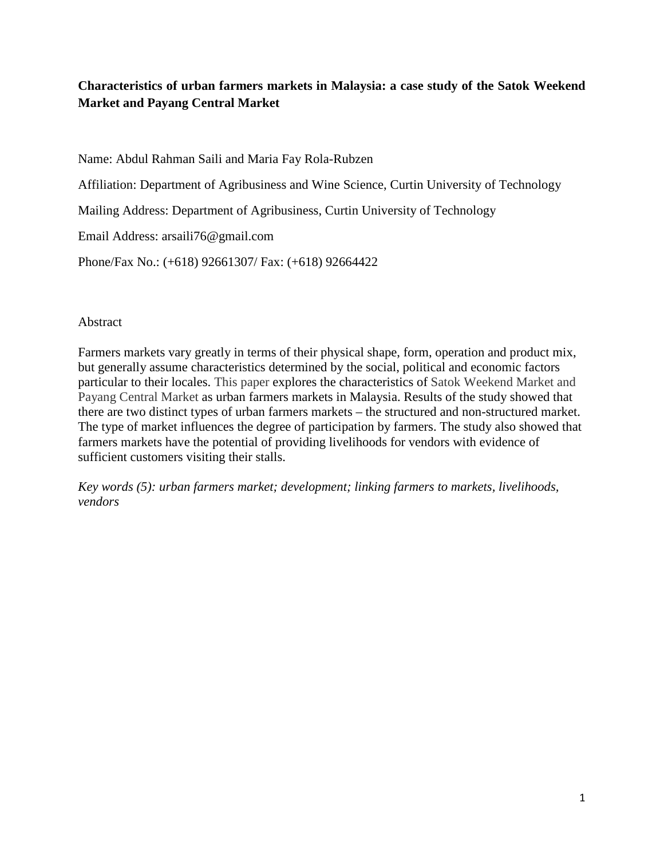# **Characteristics of urban farmers markets in Malaysia: a case study of the Satok Weekend Market and Payang Central Market**

Name: Abdul Rahman Saili and Maria Fay Rola-Rubzen

Affiliation: Department of Agribusiness and Wine Science, Curtin University of Technology

Mailing Address: Department of Agribusiness, Curtin University of Technology

Email Address: arsaili76@gmail.com

Phone/Fax No.: (+618) 92661307/ Fax: (+618) 92664422

### Abstract

Farmers markets vary greatly in terms of their physical shape, form, operation and product mix, but generally assume characteristics determined by the social, political and economic factors particular to their locales. This paper explores the characteristics of Satok Weekend Market and Payang Central Market as urban farmers markets in Malaysia. Results of the study showed that there are two distinct types of urban farmers markets – the structured and non-structured market. The type of market influences the degree of participation by farmers. The study also showed that farmers markets have the potential of providing livelihoods for vendors with evidence of sufficient customers visiting their stalls.

*Key words (5): urban farmers market; development; linking farmers to markets, livelihoods, vendors*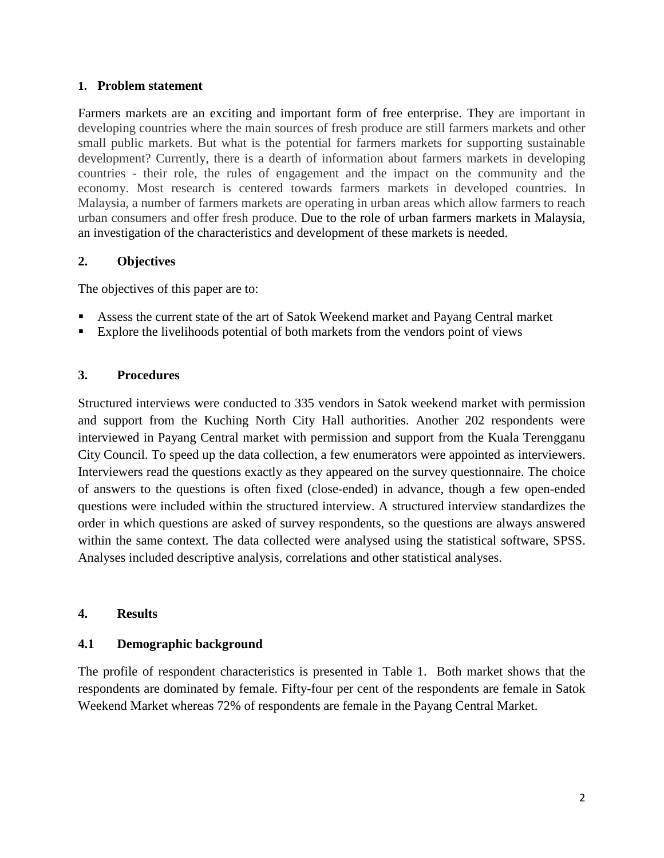### **1. Problem statement**

Farmers markets are an exciting and important form of free enterprise. They are important in developing countries where the main sources of fresh produce are still farmers markets and other small public markets. But what is the potential for farmers markets for supporting sustainable development? Currently, there is a dearth of information about farmers markets in developing countries - their role, the rules of engagement and the impact on the community and the economy. Most research is centered towards farmers markets in developed countries. In Malaysia, a number of farmers markets are operating in urban areas which allow farmers to reach urban consumers and offer fresh produce. Due to the role of urban farmers markets in Malaysia, an investigation of the characteristics and development of these markets is needed.

## **2. Objectives**

The objectives of this paper are to:

- Assess the current state of the art of Satok Weekend market and Payang Central market
- Explore the livelihoods potential of both markets from the vendors point of views

# **3. Procedures**

Structured interviews were conducted to 335 vendors in Satok weekend market with permission and support from the Kuching North City Hall authorities. Another 202 respondents were interviewed in Payang Central market with permission and support from the Kuala Terengganu City Council. To speed up the data collection, a few enumerators were appointed as interviewers. Interviewers read the questions exactly as they appeared on the survey questionnaire. The choice of answers to the questions is often fixed (close-ended) in advance, though a few open-ended questions were included within the structured interview. A structured interview standardizes the order in which questions are asked of survey respondents, so the questions are always answered within the same context. The data collected were analysed using the statistical software, SPSS. Analyses included descriptive analysis, correlations and other statistical analyses.

## **4. Results**

## **4.1 Demographic background**

The profile of respondent characteristics is presented in Table 1. Both market shows that the respondents are dominated by female. Fifty-four per cent of the respondents are female in Satok Weekend Market whereas 72% of respondents are female in the Payang Central Market.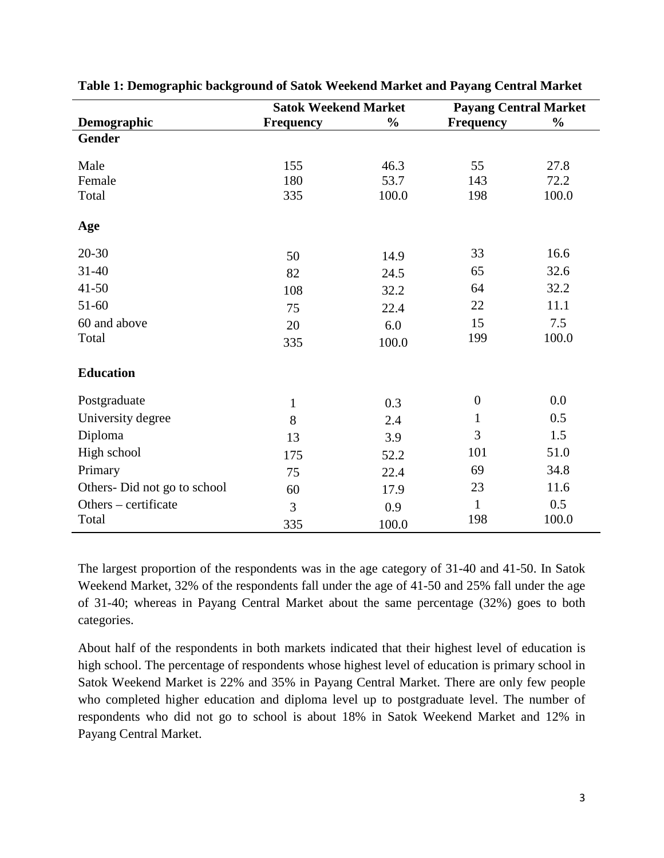|                             | <b>Satok Weekend Market</b> |               | <b>Payang Central Market</b> |               |
|-----------------------------|-----------------------------|---------------|------------------------------|---------------|
| Demographic                 | <b>Frequency</b>            | $\frac{0}{0}$ | <b>Frequency</b>             | $\frac{0}{0}$ |
| <b>Gender</b>               |                             |               |                              |               |
|                             |                             |               |                              |               |
| Male                        | 155                         | 46.3          | 55                           | 27.8          |
| Female                      | 180                         | 53.7          | 143                          | 72.2          |
| Total                       | 335                         | 100.0         | 198                          | 100.0         |
| Age                         |                             |               |                              |               |
| $20 - 30$                   | 50                          | 14.9          | 33                           | 16.6          |
| $31 - 40$                   | 82                          | 24.5          | 65                           | 32.6          |
| $41 - 50$                   | 108                         | 32.2          | 64                           | 32.2          |
| $51 - 60$                   | 75                          | 22.4          | 22                           | 11.1          |
| 60 and above                | 20                          | 6.0           | 15                           | 7.5           |
| Total                       | 335                         | 100.0         | 199                          | 100.0         |
| <b>Education</b>            |                             |               |                              |               |
| Postgraduate                | $\mathbf{1}$                | 0.3           | $\boldsymbol{0}$             | 0.0           |
| University degree           | 8                           | 2.4           | $\mathbf{1}$                 | 0.5           |
| Diploma                     | 13                          | 3.9           | 3                            | 1.5           |
| High school                 | 175                         | 52.2          | 101                          | 51.0          |
| Primary                     | 75                          | 22.4          | 69                           | 34.8          |
| Others-Did not go to school | 60                          | 17.9          | 23                           | 11.6          |
| Others – certificate        | 3                           | 0.9           | $\mathbf{1}$                 | 0.5           |
| Total                       | 335                         | 100.0         | 198                          | 100.0         |

**Table 1: Demographic background of Satok Weekend Market and Payang Central Market** 

The largest proportion of the respondents was in the age category of 31-40 and 41-50. In Satok Weekend Market, 32% of the respondents fall under the age of 41-50 and 25% fall under the age of 31-40; whereas in Payang Central Market about the same percentage (32%) goes to both categories.

About half of the respondents in both markets indicated that their highest level of education is high school. The percentage of respondents whose highest level of education is primary school in Satok Weekend Market is 22% and 35% in Payang Central Market. There are only few people who completed higher education and diploma level up to postgraduate level. The number of respondents who did not go to school is about 18% in Satok Weekend Market and 12% in Payang Central Market.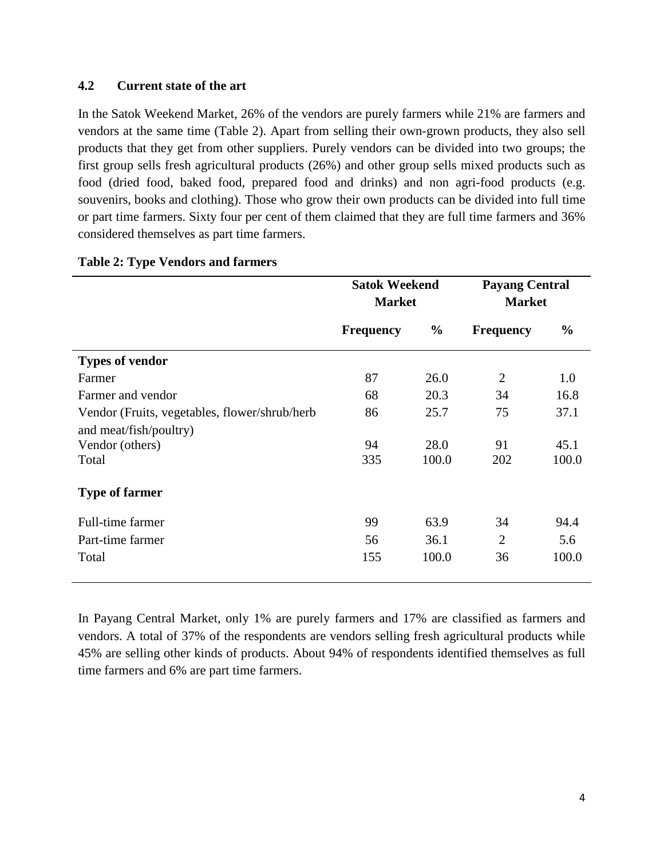## **4.2 Current state of the art**

In the Satok Weekend Market, 26% of the vendors are purely farmers while 21% are farmers and vendors at the same time (Table 2). Apart from selling their own-grown products, they also sell products that they get from other suppliers. Purely vendors can be divided into two groups; the first group sells fresh agricultural products (26%) and other group sells mixed products such as food (dried food, baked food, prepared food and drinks) and non agri-food products (e.g. souvenirs, books and clothing). Those who grow their own products can be divided into full time or part time farmers. Sixty four per cent of them claimed that they are full time farmers and 36% considered themselves as part time farmers.

|                                               | <b>Satok Weekend</b><br><b>Market</b> |               | <b>Payang Central</b><br><b>Market</b> |               |
|-----------------------------------------------|---------------------------------------|---------------|----------------------------------------|---------------|
|                                               |                                       |               |                                        |               |
|                                               | <b>Frequency</b>                      | $\frac{0}{0}$ | <b>Frequency</b>                       | $\frac{0}{0}$ |
| <b>Types of vendor</b>                        |                                       |               |                                        |               |
| Farmer                                        | 87                                    | 26.0          | $\overline{2}$                         | 1.0           |
| Farmer and vendor                             | 68                                    | 20.3          | 34                                     | 16.8          |
| Vendor (Fruits, vegetables, flower/shrub/herb | 86                                    | 25.7          | 75                                     | 37.1          |
| and meat/fish/poultry)                        |                                       |               |                                        |               |
| Vendor (others)                               | 94                                    | 28.0          | 91                                     | 45.1          |
| Total                                         | 335                                   | 100.0         | 202                                    | 100.0         |
| <b>Type of farmer</b>                         |                                       |               |                                        |               |
| Full-time farmer                              | 99                                    | 63.9          | 34                                     | 94.4          |
| Part-time farmer                              | 56                                    | 36.1          | $\overline{2}$                         | 5.6           |
| Total                                         | 155                                   | 100.0         | 36                                     | 100.0         |

#### **Table 2: Type Vendors and farmers**

In Payang Central Market, only 1% are purely farmers and 17% are classified as farmers and vendors. A total of 37% of the respondents are vendors selling fresh agricultural products while 45% are selling other kinds of products. About 94% of respondents identified themselves as full time farmers and 6% are part time farmers.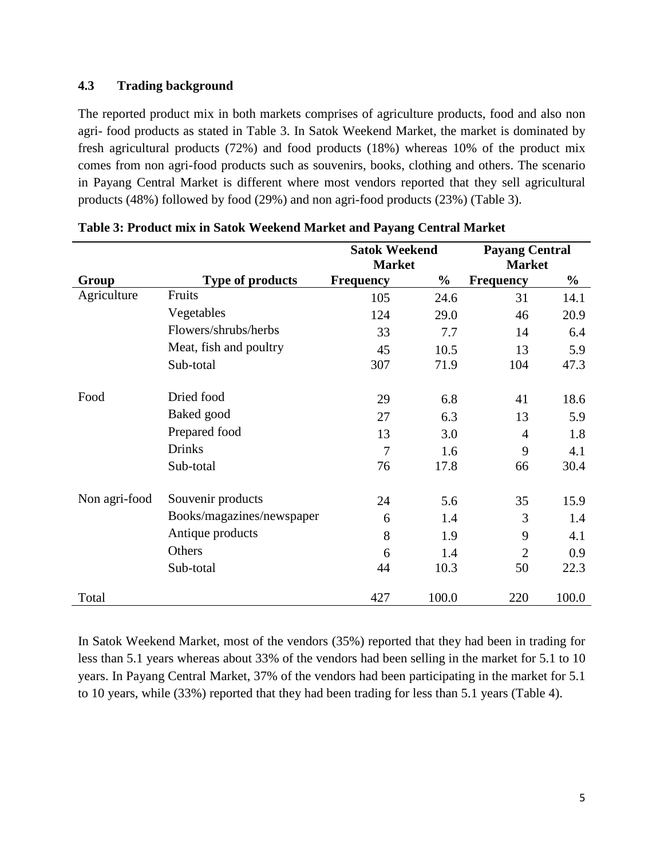## **4.3 Trading background**

The reported product mix in both markets comprises of agriculture products, food and also non agri- food products as stated in Table 3. In Satok Weekend Market, the market is dominated by fresh agricultural products (72%) and food products (18%) whereas 10% of the product mix comes from non agri-food products such as souvenirs, books, clothing and others. The scenario in Payang Central Market is different where most vendors reported that they sell agricultural products (48%) followed by food (29%) and non agri-food products (23%) (Table 3).

|               |                           | <b>Satok Weekend</b> |               | <b>Payang Central</b> |               |  |
|---------------|---------------------------|----------------------|---------------|-----------------------|---------------|--|
|               |                           | <b>Market</b>        |               | <b>Market</b>         |               |  |
| Group         | <b>Type of products</b>   | <b>Frequency</b>     | $\frac{0}{0}$ | <b>Frequency</b>      | $\frac{0}{0}$ |  |
| Agriculture   | Fruits                    | 105                  | 24.6          | 31                    | 14.1          |  |
|               | Vegetables                | 124                  | 29.0          | 46                    | 20.9          |  |
|               | Flowers/shrubs/herbs      | 33                   | 7.7           | 14                    | 6.4           |  |
|               | Meat, fish and poultry    | 45                   | 10.5          | 13                    | 5.9           |  |
|               | Sub-total                 | 307                  | 71.9          | 104                   | 47.3          |  |
| Food          | Dried food                | 29                   | 6.8           | 41                    | 18.6          |  |
|               | Baked good                | 27                   | 6.3           | 13                    | 5.9           |  |
|               | Prepared food             | 13                   | 3.0           | $\overline{4}$        | 1.8           |  |
|               | <b>Drinks</b>             | $\overline{7}$       | 1.6           | 9                     | 4.1           |  |
|               | Sub-total                 | 76                   | 17.8          | 66                    | 30.4          |  |
| Non agri-food | Souvenir products         | 24                   | 5.6           | 35                    | 15.9          |  |
|               | Books/magazines/newspaper | 6                    | 1.4           | 3                     | 1.4           |  |
|               | Antique products          | 8                    | 1.9           | 9                     | 4.1           |  |
|               | Others                    | 6                    | 1.4           | $\overline{2}$        | 0.9           |  |
|               | Sub-total                 | 44                   | 10.3          | 50                    | 22.3          |  |
| Total         |                           | 427                  | 100.0         | 220                   | 100.0         |  |

| Table 3: Product mix in Satok Weekend Market and Payang Central Market |  |  |  |
|------------------------------------------------------------------------|--|--|--|
|                                                                        |  |  |  |

In Satok Weekend Market, most of the vendors (35%) reported that they had been in trading for less than 5.1 years whereas about 33% of the vendors had been selling in the market for 5.1 to 10 years. In Payang Central Market, 37% of the vendors had been participating in the market for 5.1 to 10 years, while (33%) reported that they had been trading for less than 5.1 years (Table 4).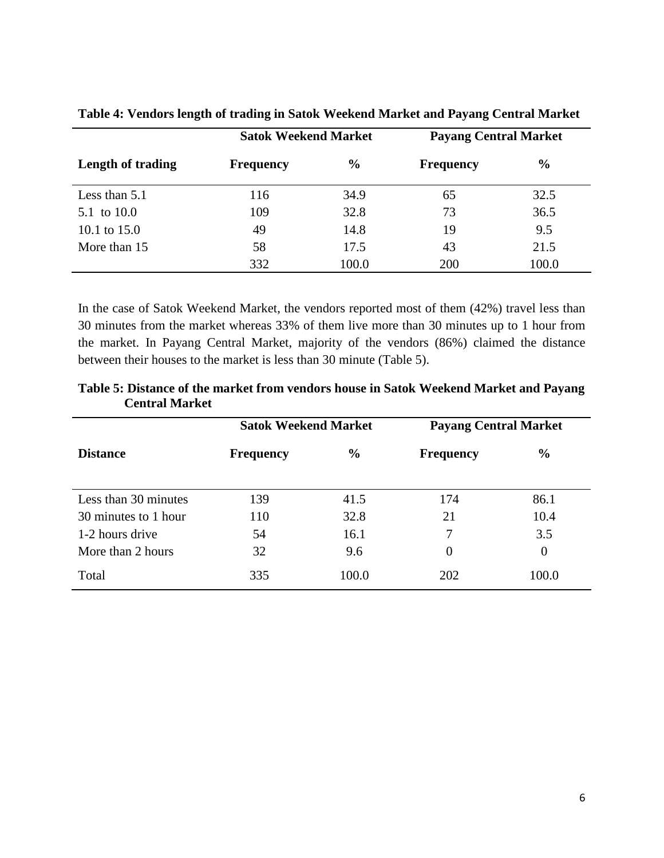|                   | <b>Satok Weekend Market</b> |               | <b>Payang Central Market</b> |               |
|-------------------|-----------------------------|---------------|------------------------------|---------------|
| Length of trading | <b>Frequency</b>            | $\frac{0}{0}$ | <b>Frequency</b>             | $\frac{0}{0}$ |
| Less than $5.1$   | 116                         | 34.9          | 65                           | 32.5          |
| 5.1 to 10.0       | 109                         | 32.8          | 73                           | 36.5          |
| 10.1 to $15.0$    | 49                          | 14.8          | 19                           | 9.5           |
| More than 15      | 58                          | 17.5          | 43                           | 21.5          |
|                   | 332                         | 100.0         | 200                          | 100.0         |

**Table 4: Vendors length of trading in Satok Weekend Market and Payang Central Market** 

In the case of Satok Weekend Market, the vendors reported most of them (42%) travel less than 30 minutes from the market whereas 33% of them live more than 30 minutes up to 1 hour from the market. In Payang Central Market, majority of the vendors (86%) claimed the distance between their houses to the market is less than 30 minute (Table 5).

|                      | <b>Satok Weekend Market</b> |               | <b>Payang Central Market</b> |               |
|----------------------|-----------------------------|---------------|------------------------------|---------------|
| <b>Distance</b>      | <b>Frequency</b>            | $\frac{0}{0}$ | <b>Frequency</b>             | $\frac{0}{0}$ |
| Less than 30 minutes | 139                         | 41.5          | 174                          | 86.1          |
| 30 minutes to 1 hour | 110                         | 32.8          | 21                           | 10.4          |
| 1-2 hours drive      | 54                          | 16.1          | 7                            | 3.5           |
| More than 2 hours    | 32                          | 9.6           | $\theta$                     | $\theta$      |
| Total                | 335                         | 100.0         | 202                          | 100.0         |

**Table 5: Distance of the market from vendors house in Satok Weekend Market and Payang Central Market**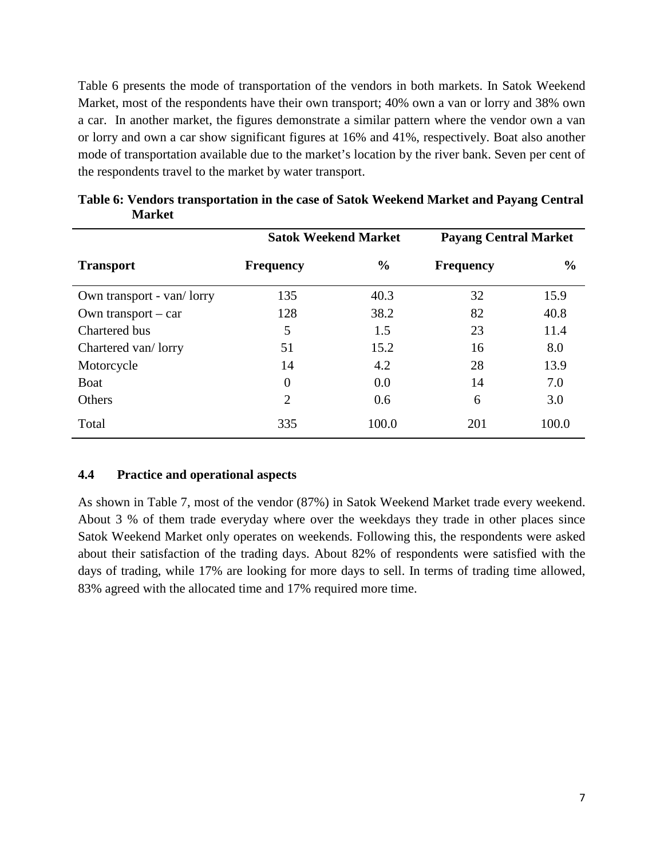Table 6 presents the mode of transportation of the vendors in both markets. In Satok Weekend Market, most of the respondents have their own transport; 40% own a van or lorry and 38% own a car. In another market, the figures demonstrate a similar pattern where the vendor own a van or lorry and own a car show significant figures at 16% and 41%, respectively. Boat also another mode of transportation available due to the market's location by the river bank. Seven per cent of the respondents travel to the market by water transport.

|                           | <b>Satok Weekend Market</b> |               | <b>Payang Central Market</b> |               |  |
|---------------------------|-----------------------------|---------------|------------------------------|---------------|--|
| <b>Transport</b>          | <b>Frequency</b>            | $\frac{6}{6}$ | <b>Frequency</b>             | $\frac{0}{0}$ |  |
| Own transport - van/lorry | 135                         | 40.3          | 32                           | 15.9          |  |
| Own transport $-$ car     | 128                         | 38.2          | 82                           | 40.8          |  |
| Chartered bus             | 5                           | 1.5           | 23                           | 11.4          |  |
| Chartered van/lorry       | 51                          | 15.2          | 16                           | 8.0           |  |
| Motorcycle                | 14                          | 4.2           | 28                           | 13.9          |  |
| <b>B</b> oat              | $\overline{0}$              | 0.0           | 14                           | 7.0           |  |
| Others                    | $\overline{2}$              | 0.6           | 6                            | 3.0           |  |
| Total                     | 335                         | 100.0         | 201                          | 100.0         |  |

**Table 6: Vendors transportation in the case of Satok Weekend Market and Payang Central Market** 

## **4.4 Practice and operational aspects**

As shown in Table 7, most of the vendor (87%) in Satok Weekend Market trade every weekend. About 3 % of them trade everyday where over the weekdays they trade in other places since Satok Weekend Market only operates on weekends. Following this, the respondents were asked about their satisfaction of the trading days. About 82% of respondents were satisfied with the days of trading, while 17% are looking for more days to sell. In terms of trading time allowed, 83% agreed with the allocated time and 17% required more time.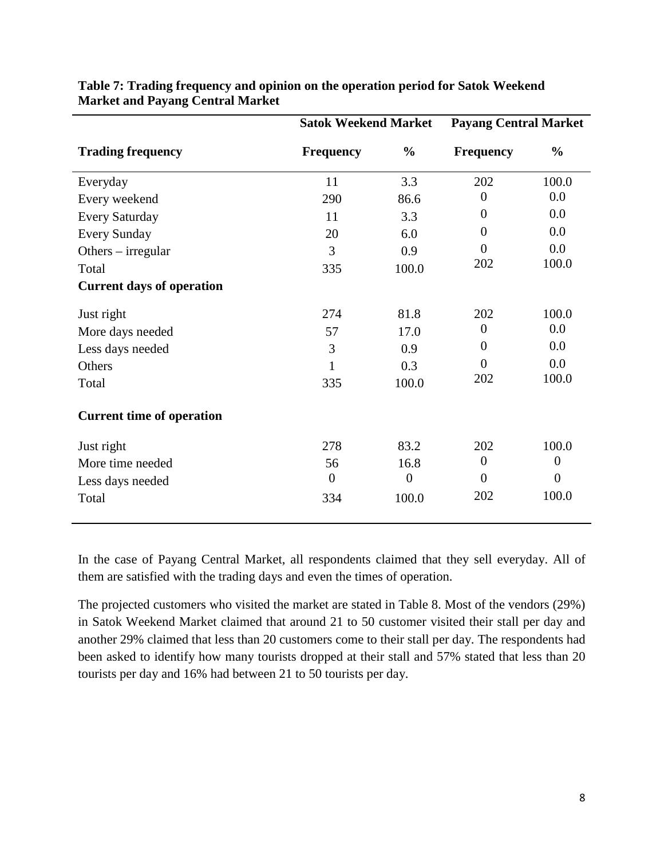|                                  | <b>Satok Weekend Market</b> |                  |                  | <b>Payang Central Market</b> |  |  |
|----------------------------------|-----------------------------|------------------|------------------|------------------------------|--|--|
| <b>Trading frequency</b>         | <b>Frequency</b>            | $\frac{0}{0}$    | <b>Frequency</b> | $\frac{0}{0}$                |  |  |
| Everyday                         | 11                          | 3.3              | 202              | 100.0                        |  |  |
| Every weekend                    | 290                         | 86.6             | $\overline{0}$   | 0.0                          |  |  |
| <b>Every Saturday</b>            | 11                          | 3.3              | $\overline{0}$   | 0.0                          |  |  |
| <b>Every Sunday</b>              | 20                          | 6.0              | $\Omega$         | 0.0                          |  |  |
| Others $-$ irregular             | 3                           | 0.9              | $\overline{0}$   | 0.0                          |  |  |
| Total                            | 335                         | 100.0            | 202              | 100.0                        |  |  |
| <b>Current days of operation</b> |                             |                  |                  |                              |  |  |
| Just right                       | 274                         | 81.8             | 202              | 100.0                        |  |  |
| More days needed                 | 57                          | 17.0             | $\boldsymbol{0}$ | 0.0                          |  |  |
| Less days needed                 | 3                           | 0.9              | $\theta$         | 0.0                          |  |  |
| Others                           | $\mathbf{1}$                | 0.3              | $\overline{0}$   | 0.0                          |  |  |
| Total                            | 335                         | 100.0            | 202              | 100.0                        |  |  |
| <b>Current time of operation</b> |                             |                  |                  |                              |  |  |
| Just right                       | 278                         | 83.2             | 202              | 100.0                        |  |  |
| More time needed                 | 56                          | 16.8             | $\overline{0}$   | $\overline{0}$               |  |  |
| Less days needed                 | $\overline{0}$              | $\boldsymbol{0}$ | $\Omega$         | $\overline{0}$               |  |  |
| Total                            | 334                         | 100.0            | 202              | 100.0                        |  |  |
|                                  |                             |                  |                  |                              |  |  |

#### **Table 7: Trading frequency and opinion on the operation period for Satok Weekend Market and Payang Central Market**

In the case of Payang Central Market, all respondents claimed that they sell everyday. All of them are satisfied with the trading days and even the times of operation.

The projected customers who visited the market are stated in Table 8. Most of the vendors (29%) in Satok Weekend Market claimed that around 21 to 50 customer visited their stall per day and another 29% claimed that less than 20 customers come to their stall per day. The respondents had been asked to identify how many tourists dropped at their stall and 57% stated that less than 20 tourists per day and 16% had between 21 to 50 tourists per day.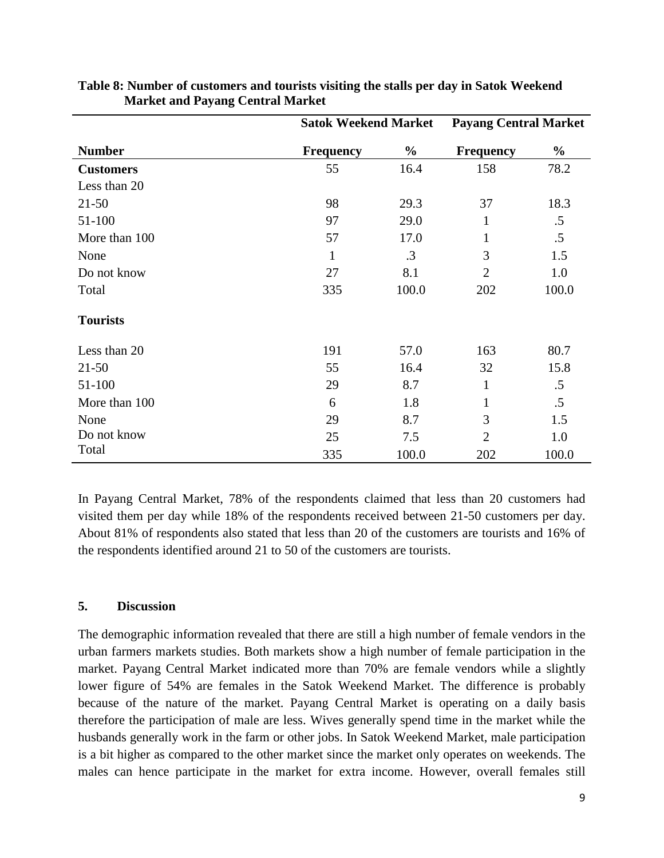|                  | <b>Satok Weekend Market</b> |               | <b>Payang Central Market</b> |               |
|------------------|-----------------------------|---------------|------------------------------|---------------|
| <b>Number</b>    | <b>Frequency</b>            | $\frac{6}{9}$ | <b>Frequency</b>             | $\frac{0}{0}$ |
| <b>Customers</b> | 55                          | 16.4          | 158                          | 78.2          |
| Less than 20     |                             |               |                              |               |
| $21 - 50$        | 98                          | 29.3          | 37                           | 18.3          |
| 51-100           | 97                          | 29.0          | 1                            | $.5\,$        |
| More than 100    | 57                          | 17.0          | 1                            | .5            |
| None             | $\mathbf{1}$                | .3            | 3                            | 1.5           |
| Do not know      | 27                          | 8.1           | $\overline{2}$               | 1.0           |
| Total            | 335                         | 100.0         | 202                          | 100.0         |
| <b>Tourists</b>  |                             |               |                              |               |
| Less than 20     | 191                         | 57.0          | 163                          | 80.7          |
| $21 - 50$        | 55                          | 16.4          | 32                           | 15.8          |
| 51-100           | 29                          | 8.7           | $\mathbf{1}$                 | $.5\,$        |
| More than 100    | 6                           | 1.8           | 1                            | .5            |
| None             | 29                          | 8.7           | 3                            | 1.5           |
| Do not know      | 25                          | 7.5           | $\overline{2}$               | 1.0           |
| Total            | 335                         | 100.0         | 202                          | 100.0         |

|                                         | Table 8: Number of customers and tourists visiting the stalls per day in Satok Weekend |
|-----------------------------------------|----------------------------------------------------------------------------------------|
| <b>Market and Payang Central Market</b> |                                                                                        |

In Payang Central Market, 78% of the respondents claimed that less than 20 customers had visited them per day while 18% of the respondents received between 21-50 customers per day. About 81% of respondents also stated that less than 20 of the customers are tourists and 16% of the respondents identified around 21 to 50 of the customers are tourists.

#### **5. Discussion**

The demographic information revealed that there are still a high number of female vendors in the urban farmers markets studies. Both markets show a high number of female participation in the market. Payang Central Market indicated more than 70% are female vendors while a slightly lower figure of 54% are females in the Satok Weekend Market. The difference is probably because of the nature of the market. Payang Central Market is operating on a daily basis therefore the participation of male are less. Wives generally spend time in the market while the husbands generally work in the farm or other jobs. In Satok Weekend Market, male participation is a bit higher as compared to the other market since the market only operates on weekends. The males can hence participate in the market for extra income. However, overall females still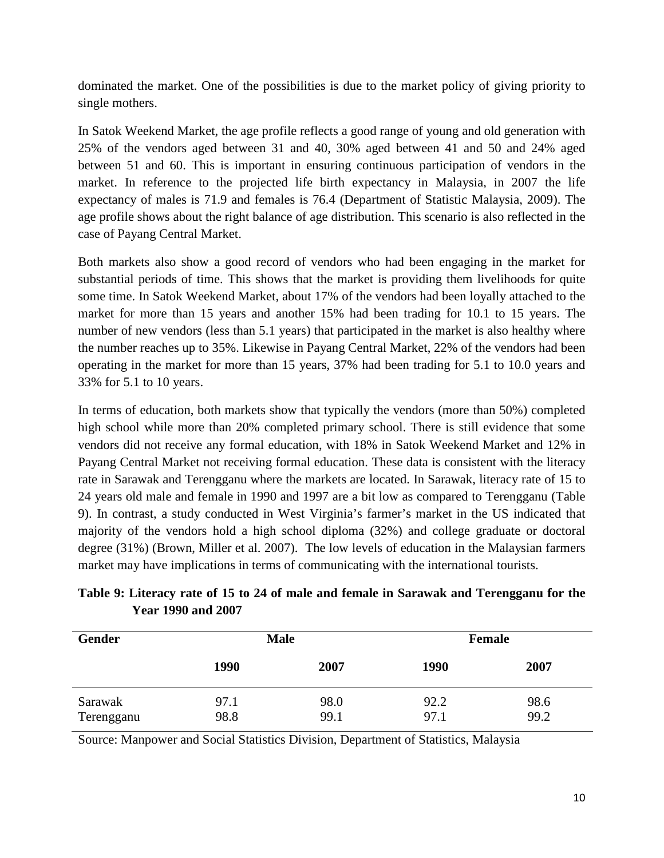dominated the market. One of the possibilities is due to the market policy of giving priority to single mothers.

In Satok Weekend Market, the age profile reflects a good range of young and old generation with 25% of the vendors aged between 31 and 40, 30% aged between 41 and 50 and 24% aged between 51 and 60. This is important in ensuring continuous participation of vendors in the market. In reference to the projected life birth expectancy in Malaysia, in 2007 the life expectancy of males is 71.9 and females is 76.4 (Department of Statistic Malaysia, 2009). The age profile shows about the right balance of age distribution. This scenario is also reflected in the case of Payang Central Market.

Both markets also show a good record of vendors who had been engaging in the market for substantial periods of time. This shows that the market is providing them livelihoods for quite some time. In Satok Weekend Market, about 17% of the vendors had been loyally attached to the market for more than 15 years and another 15% had been trading for 10.1 to 15 years. The number of new vendors (less than 5.1 years) that participated in the market is also healthy where the number reaches up to 35%. Likewise in Payang Central Market, 22% of the vendors had been operating in the market for more than 15 years, 37% had been trading for 5.1 to 10.0 years and 33% for 5.1 to 10 years.

In terms of education, both markets show that typically the vendors (more than 50%) completed high school while more than 20% completed primary school. There is still evidence that some vendors did not receive any formal education, with 18% in Satok Weekend Market and 12% in Payang Central Market not receiving formal education. These data is consistent with the literacy rate in Sarawak and Terengganu where the markets are located. In Sarawak, literacy rate of 15 to 24 years old male and female in 1990 and 1997 are a bit low as compared to Terengganu (Table 9). In contrast, a study conducted in West Virginia's farmer's market in the US indicated that majority of the vendors hold a high school diploma (32%) and college graduate or doctoral degree (31%) (Brown, Miller et al. 2007). The low levels of education in the Malaysian farmers market may have implications in terms of communicating with the international tourists.

| <b>Gender</b>         | <b>Male</b>  |              |              | <b>Female</b> |  |
|-----------------------|--------------|--------------|--------------|---------------|--|
|                       | 1990         | 2007         | 1990         | 2007          |  |
| Sarawak<br>Terengganu | 97.1<br>98.8 | 98.0<br>99.1 | 92.2<br>97.1 | 98.6<br>99.2  |  |

**Table 9: Literacy rate of 15 to 24 of male and female in Sarawak and Terengganu for the Year 1990 and 2007** 

Source: Manpower and Social Statistics Division, Department of Statistics, Malaysia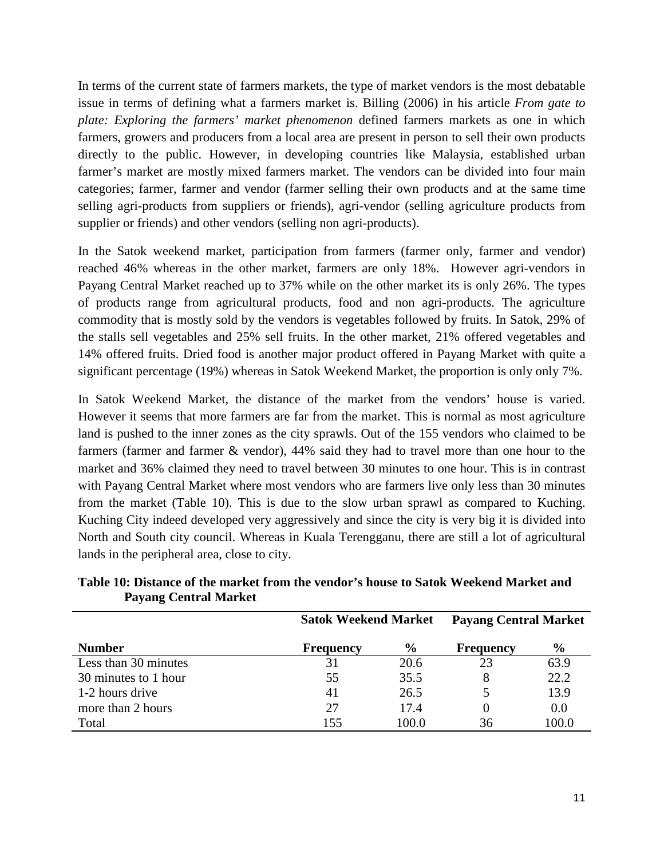In terms of the current state of farmers markets, the type of market vendors is the most debatable issue in terms of defining what a farmers market is. Billing (2006) in his article *From gate to plate: Exploring the farmers' market phenomenon* defined farmers markets as one in which farmers, growers and producers from a local area are present in person to sell their own products directly to the public. However, in developing countries like Malaysia, established urban farmer's market are mostly mixed farmers market. The vendors can be divided into four main categories; farmer, farmer and vendor (farmer selling their own products and at the same time selling agri-products from suppliers or friends), agri-vendor (selling agriculture products from supplier or friends) and other vendors (selling non agri-products).

In the Satok weekend market, participation from farmers (farmer only, farmer and vendor) reached 46% whereas in the other market, farmers are only 18%. However agri-vendors in Payang Central Market reached up to 37% while on the other market its is only 26%. The types of products range from agricultural products, food and non agri-products. The agriculture commodity that is mostly sold by the vendors is vegetables followed by fruits. In Satok, 29% of the stalls sell vegetables and 25% sell fruits. In the other market, 21% offered vegetables and 14% offered fruits. Dried food is another major product offered in Payang Market with quite a significant percentage (19%) whereas in Satok Weekend Market, the proportion is only only 7%.

In Satok Weekend Market, the distance of the market from the vendors' house is varied. However it seems that more farmers are far from the market. This is normal as most agriculture land is pushed to the inner zones as the city sprawls. Out of the 155 vendors who claimed to be farmers (farmer and farmer & vendor), 44% said they had to travel more than one hour to the market and 36% claimed they need to travel between 30 minutes to one hour. This is in contrast with Payang Central Market where most vendors who are farmers live only less than 30 minutes from the market (Table 10). This is due to the slow urban sprawl as compared to Kuching. Kuching City indeed developed very aggressively and since the city is very big it is divided into North and South city council. Whereas in Kuala Terengganu, there are still a lot of agricultural lands in the peripheral area, close to city.

|                      | <b>Satok Weekend Market</b> |               | <b>Payang Central Market</b> |               |
|----------------------|-----------------------------|---------------|------------------------------|---------------|
| <b>Number</b>        | <b>Frequency</b>            | $\frac{6}{9}$ | <b>Frequency</b>             | $\frac{0}{0}$ |
| Less than 30 minutes | 31                          | 20.6          | 23                           | 63.9          |
| 30 minutes to 1 hour | 55                          | 35.5          |                              | 22.2          |
| 1-2 hours drive      | 41                          | 26.5          |                              | 13.9          |
| more than 2 hours    | 27                          | 17.4          | 0                            | 0.0           |
| Total                | 155                         | 100.0         | 36                           | 100.0         |

**Table 10: Distance of the market from the vendor's house to Satok Weekend Market and Payang Central Market**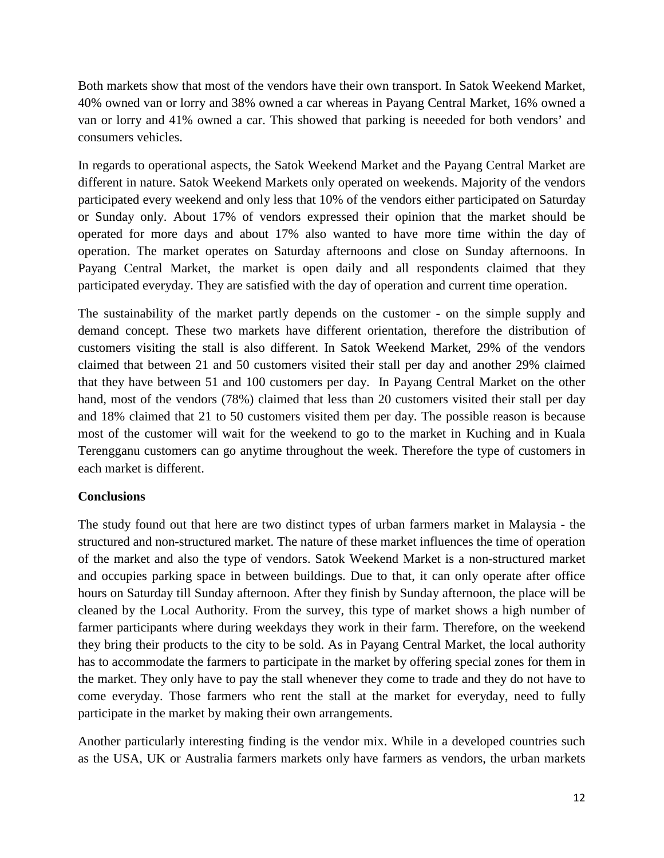Both markets show that most of the vendors have their own transport. In Satok Weekend Market, 40% owned van or lorry and 38% owned a car whereas in Payang Central Market, 16% owned a van or lorry and 41% owned a car. This showed that parking is neeeded for both vendors' and consumers vehicles.

In regards to operational aspects, the Satok Weekend Market and the Payang Central Market are different in nature. Satok Weekend Markets only operated on weekends. Majority of the vendors participated every weekend and only less that 10% of the vendors either participated on Saturday or Sunday only. About 17% of vendors expressed their opinion that the market should be operated for more days and about 17% also wanted to have more time within the day of operation. The market operates on Saturday afternoons and close on Sunday afternoons. In Payang Central Market, the market is open daily and all respondents claimed that they participated everyday. They are satisfied with the day of operation and current time operation.

The sustainability of the market partly depends on the customer - on the simple supply and demand concept. These two markets have different orientation, therefore the distribution of customers visiting the stall is also different. In Satok Weekend Market, 29% of the vendors claimed that between 21 and 50 customers visited their stall per day and another 29% claimed that they have between 51 and 100 customers per day. In Payang Central Market on the other hand, most of the vendors (78%) claimed that less than 20 customers visited their stall per day and 18% claimed that 21 to 50 customers visited them per day. The possible reason is because most of the customer will wait for the weekend to go to the market in Kuching and in Kuala Terengganu customers can go anytime throughout the week. Therefore the type of customers in each market is different.

## **Conclusions**

The study found out that here are two distinct types of urban farmers market in Malaysia - the structured and non-structured market. The nature of these market influences the time of operation of the market and also the type of vendors. Satok Weekend Market is a non-structured market and occupies parking space in between buildings. Due to that, it can only operate after office hours on Saturday till Sunday afternoon. After they finish by Sunday afternoon, the place will be cleaned by the Local Authority. From the survey, this type of market shows a high number of farmer participants where during weekdays they work in their farm. Therefore, on the weekend they bring their products to the city to be sold. As in Payang Central Market, the local authority has to accommodate the farmers to participate in the market by offering special zones for them in the market. They only have to pay the stall whenever they come to trade and they do not have to come everyday. Those farmers who rent the stall at the market for everyday, need to fully participate in the market by making their own arrangements.

Another particularly interesting finding is the vendor mix. While in a developed countries such as the USA, UK or Australia farmers markets only have farmers as vendors, the urban markets